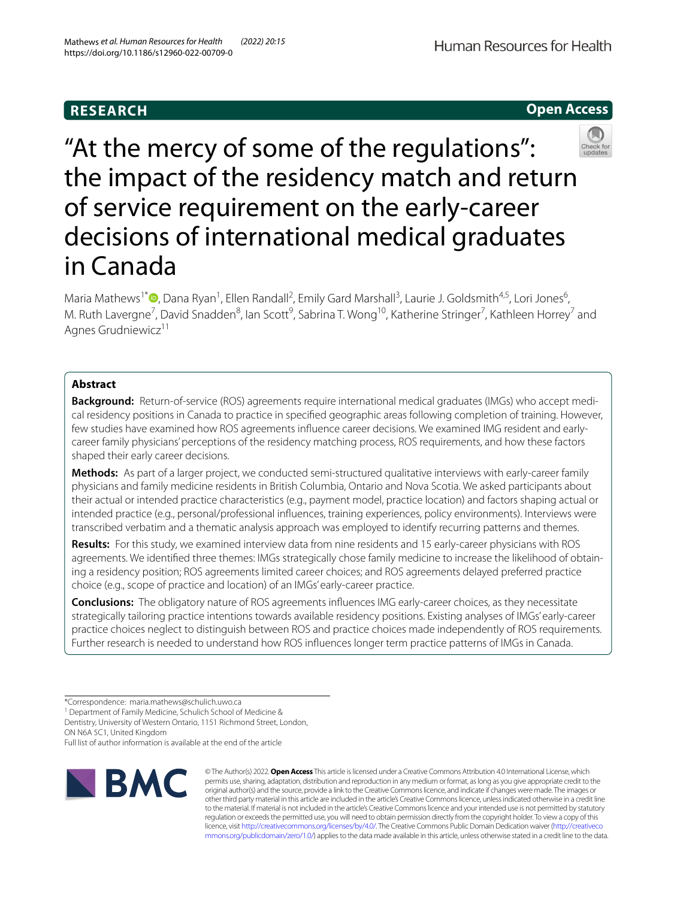# **RESEARCH**

**Open Access**



"At the mercy of some of the regulations": the impact of the residency match and return of service requirement on the early-career decisions of international medical graduates in Canada

Maria Mathews<sup>1\*</sup><sup>®</sup>[,](http://orcid.org/0000-0002-5174-104X) Dana Ryan<sup>1</sup>, Ellen Randall<sup>2</sup>, Emily Gard Marshall<sup>3</sup>, Laurie J. Goldsmith<sup>4,5</sup>, Lori Jones<sup>6</sup>, M. Ruth Lavergne<sup>7</sup>, David Snadden<sup>8</sup>, Ian Scott<sup>9</sup>, Sabrina T. Wong<sup>10</sup>, Katherine Stringer<sup>7</sup>, Kathleen Horrey<sup>7</sup> and Agnes Grudniewicz<sup>11</sup>

## **Abstract**

**Background:** Return-of-service (ROS) agreements require international medical graduates (IMGs) who accept medical residency positions in Canada to practice in specifed geographic areas following completion of training. However, few studies have examined how ROS agreements infuence career decisions. We examined IMG resident and earlycareer family physicians' perceptions of the residency matching process, ROS requirements, and how these factors shaped their early career decisions.

**Methods:** As part of a larger project, we conducted semi-structured qualitative interviews with early-career family physicians and family medicine residents in British Columbia, Ontario and Nova Scotia. We asked participants about their actual or intended practice characteristics (e.g., payment model, practice location) and factors shaping actual or intended practice (e.g., personal/professional infuences, training experiences, policy environments). Interviews were transcribed verbatim and a thematic analysis approach was employed to identify recurring patterns and themes.

**Results:** For this study, we examined interview data from nine residents and 15 early-career physicians with ROS agreements. We identifed three themes: IMGs strategically chose family medicine to increase the likelihood of obtaining a residency position; ROS agreements limited career choices; and ROS agreements delayed preferred practice choice (e.g., scope of practice and location) of an IMGs' early-career practice.

**Conclusions:** The obligatory nature of ROS agreements infuences IMG early-career choices, as they necessitate strategically tailoring practice intentions towards available residency positions. Existing analyses of IMGs' early-career practice choices neglect to distinguish between ROS and practice choices made independently of ROS requirements. Further research is needed to understand how ROS infuences longer term practice patterns of IMGs in Canada.

<sup>1</sup> Department of Family Medicine, Schulich School of Medicine &

Full list of author information is available at the end of the article



© The Author(s) 2022. **Open Access** This article is licensed under a Creative Commons Attribution 4.0 International License, which permits use, sharing, adaptation, distribution and reproduction in any medium or format, as long as you give appropriate credit to the original author(s) and the source, provide a link to the Creative Commons licence, and indicate if changes were made. The images or other third party material in this article are included in the article's Creative Commons licence, unless indicated otherwise in a credit line to the material. If material is not included in the article's Creative Commons licence and your intended use is not permitted by statutory regulation or exceeds the permitted use, you will need to obtain permission directly from the copyright holder. To view a copy of this licence, visit [http://creativecommons.org/licenses/by/4.0/.](http://creativecommons.org/licenses/by/4.0/) The Creative Commons Public Domain Dedication waiver ([http://creativeco](http://creativecommons.org/publicdomain/zero/1.0/) [mmons.org/publicdomain/zero/1.0/](http://creativecommons.org/publicdomain/zero/1.0/)) applies to the data made available in this article, unless otherwise stated in a credit line to the data.

<sup>\*</sup>Correspondence: maria.mathews@schulich.uwo.ca

Dentistry, University of Western Ontario, 1151 Richmond Street, London, ON N6A 5C1, United Kingdom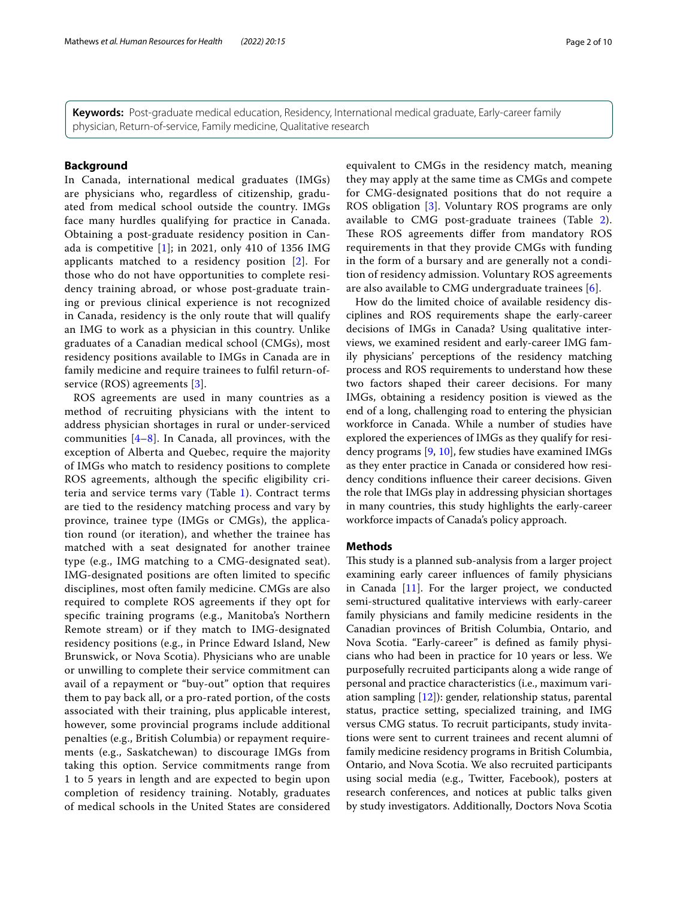**Keywords:** Post-graduate medical education, Residency, International medical graduate, Early-career family physician, Return-of-service, Family medicine, Qualitative research

## **Background**

In Canada, international medical graduates (IMGs) are physicians who, regardless of citizenship, graduated from medical school outside the country. IMGs face many hurdles qualifying for practice in Canada. Obtaining a post-graduate residency position in Canada is competitive  $[1]$  $[1]$  $[1]$ ; in 2021, only 410 of 1356 IMG applicants matched to a residency position [\[2](#page-8-1)]. For those who do not have opportunities to complete residency training abroad, or whose post-graduate training or previous clinical experience is not recognized in Canada, residency is the only route that will qualify an IMG to work as a physician in this country. Unlike graduates of a Canadian medical school (CMGs), most residency positions available to IMGs in Canada are in family medicine and require trainees to fulfl return-ofservice (ROS) agreements [\[3](#page-8-2)].

ROS agreements are used in many countries as a method of recruiting physicians with the intent to address physician shortages in rural or under-serviced communities  $[4-8]$  $[4-8]$ . In Canada, all provinces, with the exception of Alberta and Quebec, require the majority of IMGs who match to residency positions to complete ROS agreements, although the specifc eligibility criteria and service terms vary (Table [1](#page-2-0)). Contract terms are tied to the residency matching process and vary by province, trainee type (IMGs or CMGs), the application round (or iteration), and whether the trainee has matched with a seat designated for another trainee type (e.g., IMG matching to a CMG-designated seat). IMG-designated positions are often limited to specifc disciplines, most often family medicine. CMGs are also required to complete ROS agreements if they opt for specifc training programs (e.g., Manitoba's Northern Remote stream) or if they match to IMG-designated residency positions (e.g., in Prince Edward Island, New Brunswick, or Nova Scotia). Physicians who are unable or unwilling to complete their service commitment can avail of a repayment or "buy-out" option that requires them to pay back all, or a pro-rated portion, of the costs associated with their training, plus applicable interest, however, some provincial programs include additional penalties (e.g., British Columbia) or repayment requirements (e.g., Saskatchewan) to discourage IMGs from taking this option. Service commitments range from 1 to 5 years in length and are expected to begin upon completion of residency training. Notably, graduates of medical schools in the United States are considered equivalent to CMGs in the residency match, meaning they may apply at the same time as CMGs and compete for CMG-designated positions that do not require a ROS obligation [[3](#page-8-2)]. Voluntary ROS programs are only available to CMG post-graduate trainees (Table [2](#page-3-0)). These ROS agreements differ from mandatory ROS requirements in that they provide CMGs with funding in the form of a bursary and are generally not a condition of residency admission. Voluntary ROS agreements are also available to CMG undergraduate trainees [[6\]](#page-8-5).

How do the limited choice of available residency disciplines and ROS requirements shape the early-career decisions of IMGs in Canada? Using qualitative interviews, we examined resident and early-career IMG family physicians' perceptions of the residency matching process and ROS requirements to understand how these two factors shaped their career decisions. For many IMGs, obtaining a residency position is viewed as the end of a long, challenging road to entering the physician workforce in Canada. While a number of studies have explored the experiences of IMGs as they qualify for residency programs [\[9](#page-8-6), [10\]](#page-8-7), few studies have examined IMGs as they enter practice in Canada or considered how residency conditions infuence their career decisions. Given the role that IMGs play in addressing physician shortages in many countries, this study highlights the early-career workforce impacts of Canada's policy approach.

## **Methods**

This study is a planned sub-analysis from a larger project examining early career infuences of family physicians in Canada [[11\]](#page-8-8). For the larger project, we conducted semi-structured qualitative interviews with early-career family physicians and family medicine residents in the Canadian provinces of British Columbia, Ontario, and Nova Scotia. "Early-career" is defned as family physicians who had been in practice for 10 years or less. We purposefully recruited participants along a wide range of personal and practice characteristics (i.e., maximum variation sampling [\[12](#page-8-9)]): gender, relationship status, parental status, practice setting, specialized training, and IMG versus CMG status. To recruit participants, study invitations were sent to current trainees and recent alumni of family medicine residency programs in British Columbia, Ontario, and Nova Scotia. We also recruited participants using social media (e.g., Twitter, Facebook), posters at research conferences, and notices at public talks given by study investigators. Additionally, Doctors Nova Scotia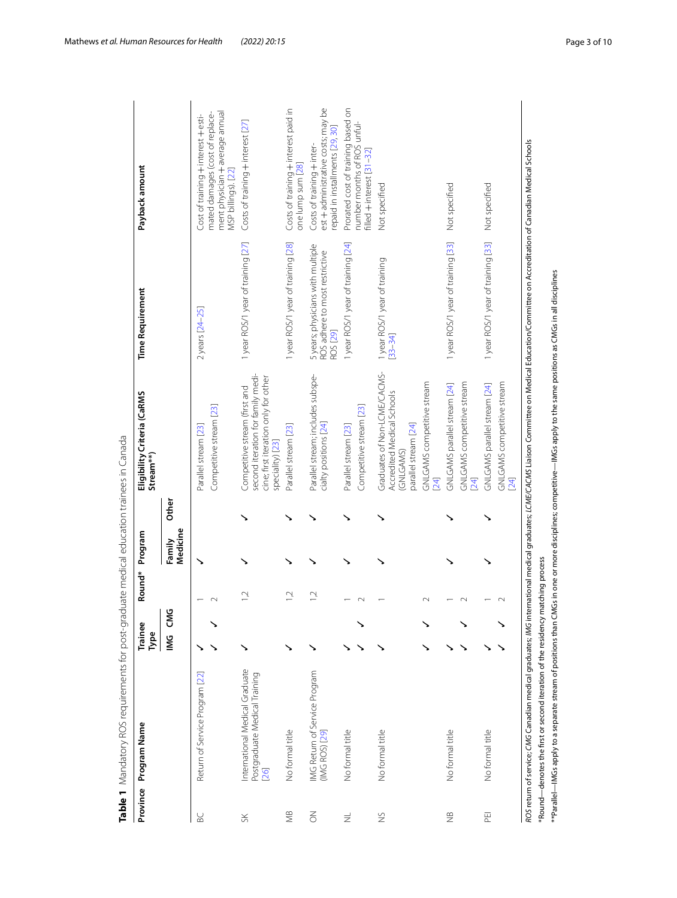| Province       | Program Name                                                                                                                                                                                                                                                        | Trainee<br>Туре |            | Round*         | Program            |              | Eligibility Criteria (CaRMS<br>Stream**)                                                                                       | <b>Time Requirement</b>                                                                                                                                                                              | Payback amount                                                                                      |
|----------------|---------------------------------------------------------------------------------------------------------------------------------------------------------------------------------------------------------------------------------------------------------------------|-----------------|------------|----------------|--------------------|--------------|--------------------------------------------------------------------------------------------------------------------------------|------------------------------------------------------------------------------------------------------------------------------------------------------------------------------------------------------|-----------------------------------------------------------------------------------------------------|
|                |                                                                                                                                                                                                                                                                     | Μ               | <b>CMG</b> |                | Medicine<br>Family | <b>Other</b> |                                                                                                                                |                                                                                                                                                                                                      |                                                                                                     |
| BC             | Return of Service Program [22]                                                                                                                                                                                                                                      |                 |            |                |                    |              | Competitive stream [23]<br>Parallel stream [23]                                                                                | 2 years [24-25]                                                                                                                                                                                      | mated damages (cost of replace-<br>Cost of training + interest + esti-                              |
|                |                                                                                                                                                                                                                                                                     |                 |            |                |                    |              |                                                                                                                                |                                                                                                                                                                                                      | ment physician + average annual<br>MSP billings). [22]                                              |
| $S_{\text{K}}$ | International Medical Graduate<br>Postgraduate Medical Training<br>[26]                                                                                                                                                                                             | ↘               |            | $\tilde{L}$    |                    |              | second iteration for family medi-<br>cine; first iteration only for other<br>Competitive stream (first and<br>speciality) [23] | 1 year ROS/1 year of training [27]                                                                                                                                                                   | Costs of training $+$ interest [27]                                                                 |
| <b>SK</b>      | No formal title                                                                                                                                                                                                                                                     |                 |            | 12             |                    |              | Parallel stream [23]                                                                                                           | 1 year ROS/1 year of training [28]                                                                                                                                                                   | Costs of training + interest paid in<br>one lump sum [28]                                           |
| $\leq$         | IMG Return of Service Program<br>(IMG ROS) [29]                                                                                                                                                                                                                     |                 |            | $\overline{1}$ |                    |              | Parallel stream; includes subspe-<br>cialty positions [24]                                                                     | 5 years; physicians with multiple<br>ROS adhere to most restrictive<br>ROS [29]                                                                                                                      | est + administrative costs; may be<br>repaid in installments [29, 30]<br>Costs of training + inter- |
| $\equiv$       | No formal title                                                                                                                                                                                                                                                     |                 |            |                |                    |              | Competitive stream [23]<br>Parallel stream [23]                                                                                | 1 year ROS/1 year of training [24]                                                                                                                                                                   | Prorated cost of training based on<br>number months of ROS unful-<br>filled + interest [31-32]      |
| $\frac{8}{2}$  | No formal title                                                                                                                                                                                                                                                     |                 |            |                |                    |              | Graduates of Non-LCME/CACMS-<br>Accredited Medical Schools<br>parallel stream [24]<br>GNLGAMS)                                 | 1 year ROS/1 year of training<br>$[33 - 34]$                                                                                                                                                         | Not specified                                                                                       |
|                |                                                                                                                                                                                                                                                                     |                 |            | $\sim$         |                    |              | GNLGAMS competitive stream<br>[24]                                                                                             |                                                                                                                                                                                                      |                                                                                                     |
| $\cong$        | No formal title                                                                                                                                                                                                                                                     |                 |            |                |                    |              | GNLGAMS competitive stream<br>GNLGAMS parallel stream [24]<br>24]                                                              | 1 year ROS/1 year of training [33]                                                                                                                                                                   | Not specified                                                                                       |
| 띧              | No formal title                                                                                                                                                                                                                                                     |                 |            |                |                    |              | GNLGAMS competitive stream<br>GNLGAMS parallel stream [24]<br>[24]                                                             | 1 year ROS/1 year of training [33]                                                                                                                                                                   | Not specified                                                                                       |
|                | $^{*}\text{Parallel–IMGs apply to a separate stream of positions than CMGs in one or more disciplines; competitive—IMGs apply to the same positions as CMGs in all disciplines.}$<br>"Round-denotes the first or second iteration of the residency matching process |                 |            |                |                    |              |                                                                                                                                | ROS return of service; CMG Canadian medical graduates; M/G international medical graduates; LCME/CACMS Liaison Committee on Medical Education/Committee on Accreditation of Canadian Medical Schools |                                                                                                     |

<span id="page-2-0"></span>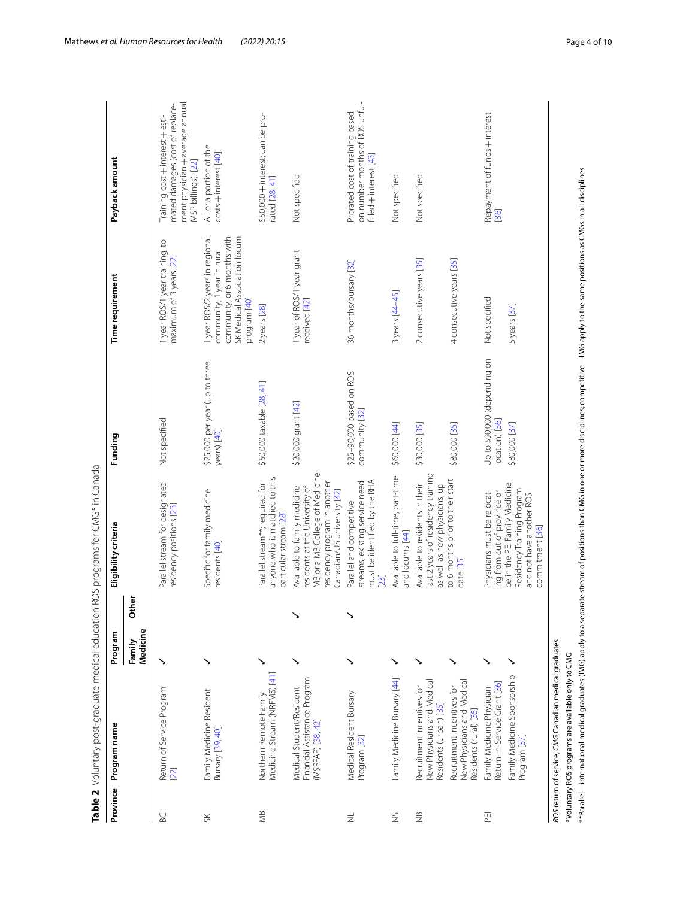|              | Table 2 Voluntary post-graduate medical education                                  |                    |       | ROS programs for CMG* in Canada                                                                                                                                                                      |                                                |                                                                                                                                             |                                                                                                                               |
|--------------|------------------------------------------------------------------------------------|--------------------|-------|------------------------------------------------------------------------------------------------------------------------------------------------------------------------------------------------------|------------------------------------------------|---------------------------------------------------------------------------------------------------------------------------------------------|-------------------------------------------------------------------------------------------------------------------------------|
| Province     | Program name                                                                       | Program            |       | Eligibility criteria                                                                                                                                                                                 | Funding                                        | Time requirement                                                                                                                            | Payback amount                                                                                                                |
|              |                                                                                    | Medicine<br>Family | Other |                                                                                                                                                                                                      |                                                |                                                                                                                                             |                                                                                                                               |
| BC           | Return of Service Program<br>$[22]$                                                | ↘                  |       | Parallel stream for designated<br>residency positions [23]                                                                                                                                           | Not specified                                  | I year ROS/1 year training; to<br>maximum of 3 years [22]                                                                                   | ment physician + average annual<br>mated damages (cost of replace-<br>Training cost + interest + esti-<br>MSP billings). [22] |
| $S\check{K}$ | Family Medicine Resident<br>Bursary [39, 40]                                       |                    |       | Specific for family medicine<br>residents [40]                                                                                                                                                       | \$25,000 per year (up to three<br>years) [40]  | community, or 6 months with<br>SK Medical Association locum<br>1 year ROS/2 years in regional<br>community, 1 year in rural<br>program [40] | All or a portion of the<br>costs + interest [40]                                                                              |
| ЖB           | Medicine Stream (NRFMS) [41]<br>Northern Remote Family                             |                    |       | anyone who is matched to this<br>Parallel stream**; required for<br>particular stream [28]                                                                                                           | \$50,000 taxable [28, 41]                      | 2 years [28]                                                                                                                                | \$50,000 + interest; can be pro-<br>rated [28, 41]                                                                            |
|              | Financial Assistance Program<br>Medical Student/Resident<br>(MSRFAP) [38, 42]      |                    |       | MB or a MB College of Medicine<br>residency program in another<br>residents at the University of<br>Available to family medicine<br>Canadian/US university [42]                                      | \$20,000 grant [42]                            | 1 year of ROS/1 year grant<br>received [42]                                                                                                 | Not specified                                                                                                                 |
| $\equiv$     | Medical Resident Bursary<br>Program <sup>[32]</sup>                                |                    | ↘     | must be identified by the RHA<br>streams; existing service need<br>Parallel and competitive<br>[23]                                                                                                  | \$25-90,000 based on ROS<br>community [32]     | 36 months/bursary [32]                                                                                                                      | on number months of ROS unful-<br>Prorated cost of training based<br>filled + interest [43]                                   |
| $\gtrapprox$ | Family Medicine Bursary [44]                                                       | ↘                  |       | Available to full-time, part-time<br>and locums [44]                                                                                                                                                 | \$60,000 [44]                                  | 3 years [44-45]                                                                                                                             | Not specified                                                                                                                 |
| $\tilde{z}$  | New Physicians and Medical<br>Recruitment Incentives for<br>Residents (urban) [35] |                    |       | last 2 years of residency training<br>Available to residents in their<br>as well as new physicians, up                                                                                               | \$30,000 [35]                                  | 2 consecutive years [35]                                                                                                                    | Not specified                                                                                                                 |
|              | New Physicians and Medical<br>Recruitment Incentives for<br>Residents (rural) [35] | ↘                  |       | to 6 months prior to their start<br>date [35]                                                                                                                                                        | \$80,000 [35]                                  | 4 consecutive years [35]                                                                                                                    |                                                                                                                               |
| 푼            | Return-in-Service Grant [36]<br>Family Medicine Physician                          |                    |       | be in the PEI Family Medicine<br>Physicians must be relocat-<br>ing from out of province or                                                                                                          | Up to \$90,000 (depending on<br>location) [36] | Not specified                                                                                                                               | Repayment of funds + interest<br>36                                                                                           |
|              | Family Medicine Sponsorship<br>Program [37]                                        |                    |       | Residency Training Program<br>and not have another ROS<br>commitment [36]                                                                                                                            | \$80,000 [37]                                  | 5 years [37]                                                                                                                                |                                                                                                                               |
|              | ROS return of service; CMG Canadian medical graduates                              |                    |       |                                                                                                                                                                                                      |                                                |                                                                                                                                             |                                                                                                                               |
|              | "Voluntary ROS programs are available only to CMG                                  |                    |       | **Parallel—international medical qraduates (IMG) apply to a separate stream of positions than CMG in one or more disciplines; competitive—IMG apply to the same positions as CMGs in all disciplines |                                                |                                                                                                                                             |                                                                                                                               |

<span id="page-3-0"></span>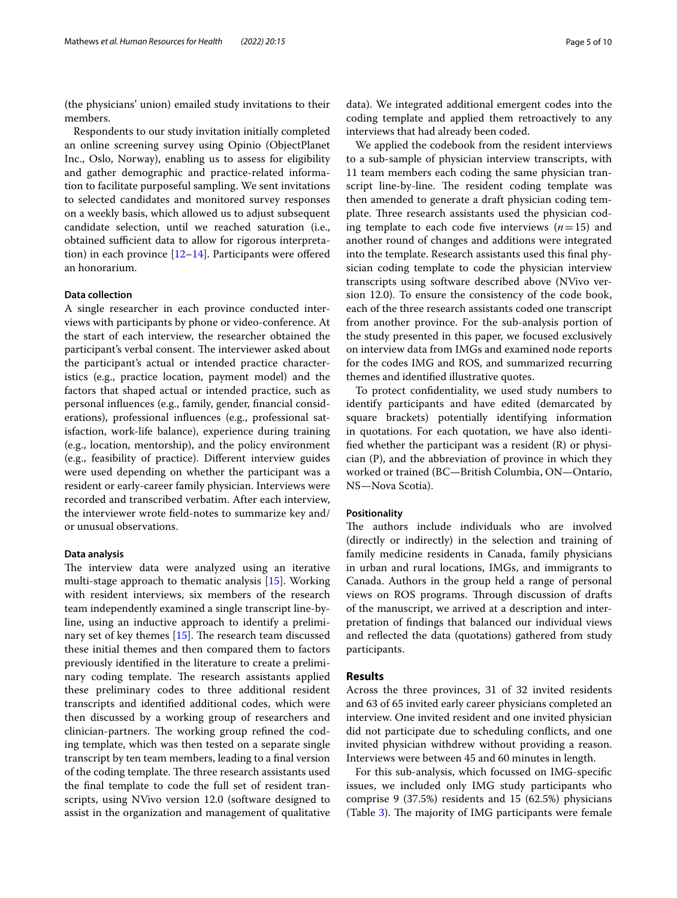(the physicians' union) emailed study invitations to their members.

Respondents to our study invitation initially completed an online screening survey using Opinio (ObjectPlanet Inc., Oslo, Norway), enabling us to assess for eligibility and gather demographic and practice-related information to facilitate purposeful sampling. We sent invitations to selected candidates and monitored survey responses on a weekly basis, which allowed us to adjust subsequent candidate selection, until we reached saturation (i.e., obtained sufficient data to allow for rigorous interpretation) in each province  $[12-14]$  $[12-14]$ . Participants were offered an honorarium.

## **Data collection**

A single researcher in each province conducted interviews with participants by phone or video-conference. At the start of each interview, the researcher obtained the participant's verbal consent. The interviewer asked about the participant's actual or intended practice characteristics (e.g., practice location, payment model) and the factors that shaped actual or intended practice, such as personal infuences (e.g., family, gender, fnancial considerations), professional infuences (e.g., professional satisfaction, work-life balance), experience during training (e.g., location, mentorship), and the policy environment (e.g., feasibility of practice). Diferent interview guides were used depending on whether the participant was a resident or early-career family physician. Interviews were recorded and transcribed verbatim. After each interview, the interviewer wrote feld-notes to summarize key and/ or unusual observations.

## **Data analysis**

The interview data were analyzed using an iterative multi-stage approach to thematic analysis [\[15](#page-8-11)]. Working with resident interviews, six members of the research team independently examined a single transcript line-byline, using an inductive approach to identify a preliminary set of key themes  $[15]$ . The research team discussed these initial themes and then compared them to factors previously identifed in the literature to create a preliminary coding template. The research assistants applied these preliminary codes to three additional resident transcripts and identifed additional codes, which were then discussed by a working group of researchers and clinician-partners. The working group refined the coding template, which was then tested on a separate single transcript by ten team members, leading to a fnal version of the coding template. The three research assistants used the fnal template to code the full set of resident transcripts, using NVivo version 12.0 (software designed to assist in the organization and management of qualitative data). We integrated additional emergent codes into the coding template and applied them retroactively to any interviews that had already been coded.

We applied the codebook from the resident interviews to a sub-sample of physician interview transcripts, with 11 team members each coding the same physician transcript line-by-line. The resident coding template was then amended to generate a draft physician coding template. Three research assistants used the physician coding template to each code five interviews  $(n=15)$  and another round of changes and additions were integrated into the template. Research assistants used this fnal physician coding template to code the physician interview transcripts using software described above (NVivo version 12.0). To ensure the consistency of the code book, each of the three research assistants coded one transcript from another province. For the sub-analysis portion of the study presented in this paper, we focused exclusively on interview data from IMGs and examined node reports for the codes IMG and ROS, and summarized recurring themes and identifed illustrative quotes.

To protect confdentiality, we used study numbers to identify participants and have edited (demarcated by square brackets) potentially identifying information in quotations. For each quotation, we have also identified whether the participant was a resident  $(R)$  or physician (P), and the abbreviation of province in which they worked or trained (BC—British Columbia, ON—Ontario, NS—Nova Scotia).

## **Positionality**

The authors include individuals who are involved (directly or indirectly) in the selection and training of family medicine residents in Canada, family physicians in urban and rural locations, IMGs, and immigrants to Canada. Authors in the group held a range of personal views on ROS programs. Through discussion of drafts of the manuscript, we arrived at a description and interpretation of fndings that balanced our individual views and refected the data (quotations) gathered from study participants.

## **Results**

Across the three provinces, 31 of 32 invited residents and 63 of 65 invited early career physicians completed an interview. One invited resident and one invited physician did not participate due to scheduling conficts, and one invited physician withdrew without providing a reason. Interviews were between 45 and 60 minutes in length.

For this sub-analysis, which focussed on IMG-specifc issues, we included only IMG study participants who comprise 9 (37.5%) residents and 15 (62.5%) physicians (Table [3](#page-5-0)). The majority of IMG participants were female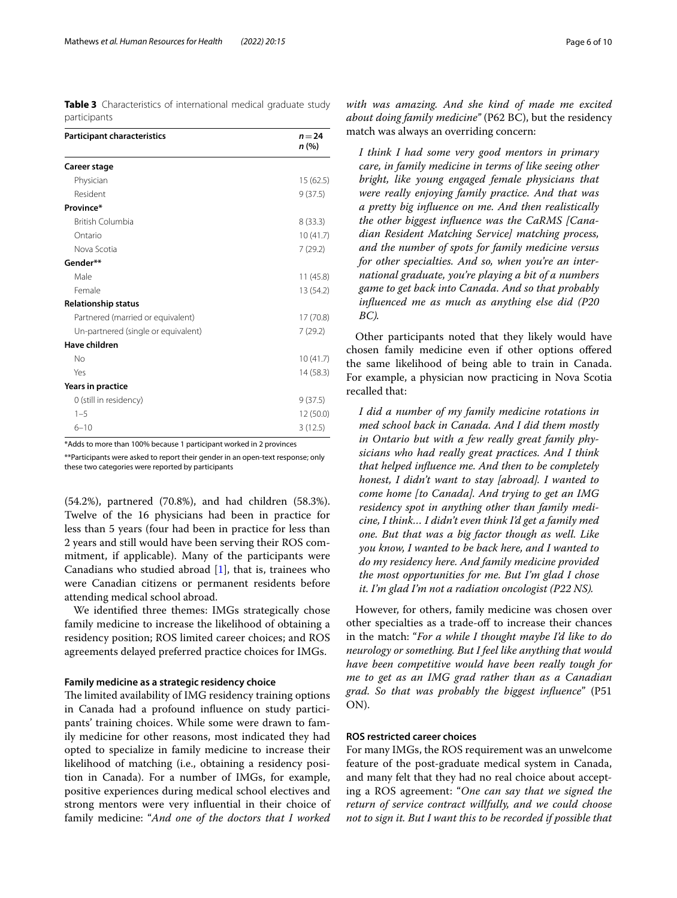<span id="page-5-0"></span>**Table 3** Characteristics of international medical graduate study participants

| <b>Participant characteristics</b>  | $n = 24$<br>n(%) |
|-------------------------------------|------------------|
| Career stage                        |                  |
| Physician                           | 15(62.5)         |
| Resident                            | 9(37.5)          |
| Province*                           |                  |
| <b>British Columbia</b>             | 8(33.3)          |
| Ontario                             | 10(41.7)         |
| Nova Scotia                         | 7(29.2)          |
| Gender**                            |                  |
| Male                                | 11(45.8)         |
| Female                              | 13 (54.2)        |
| <b>Relationship status</b>          |                  |
| Partnered (married or equivalent)   | 17 (70.8)        |
| Un-partnered (single or equivalent) | 7(29.2)          |
| Have children                       |                  |
| No                                  | 10(41.7)         |
| Yes                                 | 14 (58.3)        |
| Years in practice                   |                  |
| 0 (still in residency)              | 9(37.5)          |
| $1 - 5$                             | 12 (50.0)        |
| $6 - 10$                            | 3(12.5)          |
|                                     |                  |

\*Adds to more than 100% because 1 participant worked in 2 provinces

\*\*Participants were asked to report their gender in an open-text response; only these two categories were reported by participants

(54.2%), partnered (70.8%), and had children (58.3%). Twelve of the 16 physicians had been in practice for less than 5 years (four had been in practice for less than 2 years and still would have been serving their ROS commitment, if applicable). Many of the participants were Canadians who studied abroad  $[1]$  $[1]$ , that is, trainees who were Canadian citizens or permanent residents before attending medical school abroad.

We identifed three themes: IMGs strategically chose family medicine to increase the likelihood of obtaining a residency position; ROS limited career choices; and ROS agreements delayed preferred practice choices for IMGs.

## **Family medicine as a strategic residency choice**

The limited availability of IMG residency training options in Canada had a profound infuence on study participants' training choices. While some were drawn to family medicine for other reasons, most indicated they had opted to specialize in family medicine to increase their likelihood of matching (i.e., obtaining a residency position in Canada). For a number of IMGs, for example, positive experiences during medical school electives and strong mentors were very infuential in their choice of family medicine: "*And one of the doctors that I worked* 

*with was amazing. And she kind of made me excited about doing family medicine"* (P62 BC), but the residency match was always an overriding concern:

*I think I had some very good mentors in primary care, in family medicine in terms of like seeing other bright, like young engaged female physicians that were really enjoying family practice. And that was a pretty big infuence on me. And then realistically the other biggest infuence was the CaRMS [Canadian Resident Matching Service] matching process, and the number of spots for family medicine versus for other specialties. And so, when you're an international graduate, you're playing a bit of a numbers game to get back into Canada. And so that probably infuenced me as much as anything else did (P20 BC).*

Other participants noted that they likely would have chosen family medicine even if other options ofered the same likelihood of being able to train in Canada. For example, a physician now practicing in Nova Scotia recalled that:

*I did a number of my family medicine rotations in med school back in Canada. And I did them mostly in Ontario but with a few really great family physicians who had really great practices. And I think that helped infuence me. And then to be completely honest, I didn't want to stay [abroad]. I wanted to come home [to Canada]. And trying to get an IMG residency spot in anything other than family medicine, I think… I didn't even think I'd get a family med one. But that was a big factor though as well. Like you know, I wanted to be back here, and I wanted to do my residency here. And family medicine provided the most opportunities for me. But I'm glad I chose it. I'm glad I'm not a radiation oncologist (P22 NS).*

However, for others, family medicine was chosen over other specialties as a trade-of to increase their chances in the match: "*For a while I thought maybe I'd like to do neurology or something. But I feel like anything that would have been competitive would have been really tough for me to get as an IMG grad rather than as a Canadian grad. So that was probably the biggest infuence*" (P51 ON).

## **ROS restricted career choices**

For many IMGs, the ROS requirement was an unwelcome feature of the post-graduate medical system in Canada, and many felt that they had no real choice about accepting a ROS agreement: "*One can say that we signed the return of service contract willfully, and we could choose not to sign it. But I want this to be recorded if possible that*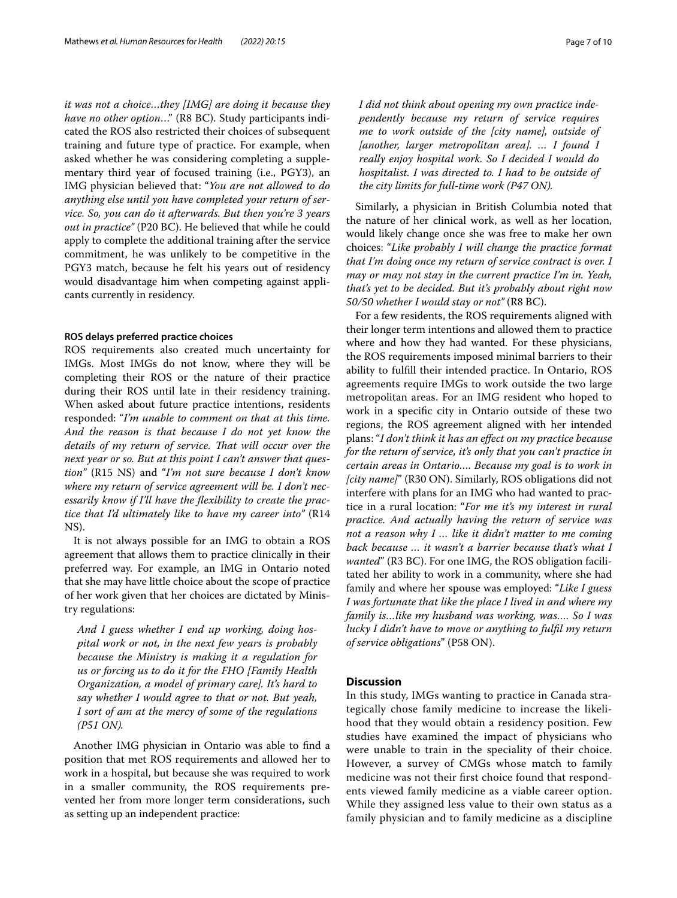*it was not a choice…they [IMG] are doing it because they have no other option*…" (R8 BC). Study participants indicated the ROS also restricted their choices of subsequent training and future type of practice. For example, when asked whether he was considering completing a supplementary third year of focused training (i.e., PGY3), an IMG physician believed that: "*You are not allowed to do anything else until you have completed your return of service. So, you can do it afterwards. But then you're 3 years out in practice"* (P20 BC). He believed that while he could apply to complete the additional training after the service commitment, he was unlikely to be competitive in the PGY3 match, because he felt his years out of residency would disadvantage him when competing against applicants currently in residency.

#### **ROS delays preferred practice choices**

ROS requirements also created much uncertainty for IMGs. Most IMGs do not know, where they will be completing their ROS or the nature of their practice during their ROS until late in their residency training. When asked about future practice intentions, residents responded: "*I'm unable to comment on that at this time. And the reason is that because I do not yet know the details of my return of service. Tat will occur over the next year or so. But at this point I can't answer that question"* (R15 NS) and "*I'm not sure because I don't know where my return of service agreement will be. I don't necessarily know if I'll have the fexibility to create the practice that I'd ultimately like to have my career into"* (R14 NS).

It is not always possible for an IMG to obtain a ROS agreement that allows them to practice clinically in their preferred way. For example, an IMG in Ontario noted that she may have little choice about the scope of practice of her work given that her choices are dictated by Ministry regulations:

*And I guess whether I end up working, doing hospital work or not, in the next few years is probably because the Ministry is making it a regulation for us or forcing us to do it for the FHO [Family Health Organization, a model of primary care]. It's hard to say whether I would agree to that or not. But yeah, I sort of am at the mercy of some of the regulations (P51 ON).*

Another IMG physician in Ontario was able to fnd a position that met ROS requirements and allowed her to work in a hospital, but because she was required to work in a smaller community, the ROS requirements prevented her from more longer term considerations, such as setting up an independent practice:

*I did not think about opening my own practice independently because my return of service requires me to work outside of the [city name], outside of [another, larger metropolitan area]. … I found I really enjoy hospital work. So I decided I would do hospitalist. I was directed to. I had to be outside of the city limits for full-time work (P47 ON).*

Similarly, a physician in British Columbia noted that the nature of her clinical work, as well as her location, would likely change once she was free to make her own choices: "*Like probably I will change the practice format that I'm doing once my return of service contract is over. I may or may not stay in the current practice I'm in. Yeah, that's yet to be decided. But it's probably about right now 50/50 whether I would stay or not"* (R8 BC).

For a few residents, the ROS requirements aligned with their longer term intentions and allowed them to practice where and how they had wanted. For these physicians, the ROS requirements imposed minimal barriers to their ability to fulfll their intended practice. In Ontario, ROS agreements require IMGs to work outside the two large metropolitan areas. For an IMG resident who hoped to work in a specifc city in Ontario outside of these two regions, the ROS agreement aligned with her intended plans: "*I don't think it has an efect on my practice because for the return of service, it's only that you can't practice in certain areas in Ontario…. Because my goal is to work in [city name]*" (R30 ON). Similarly, ROS obligations did not interfere with plans for an IMG who had wanted to practice in a rural location: "*For me it's my interest in rural practice. And actually having the return of service was not a reason why I … like it didn't matter to me coming back because … it wasn't a barrier because that's what I wanted*" (R3 BC). For one IMG, the ROS obligation facilitated her ability to work in a community, where she had family and where her spouse was employed: "*Like I guess I was fortunate that like the place I lived in and where my family is…like my husband was working, was…. So I was lucky I didn't have to move or anything to fulfl my return of service obligations*" (P58 ON).

## **Discussion**

In this study, IMGs wanting to practice in Canada strategically chose family medicine to increase the likelihood that they would obtain a residency position. Few studies have examined the impact of physicians who were unable to train in the speciality of their choice. However, a survey of CMGs whose match to family medicine was not their frst choice found that respondents viewed family medicine as a viable career option. While they assigned less value to their own status as a family physician and to family medicine as a discipline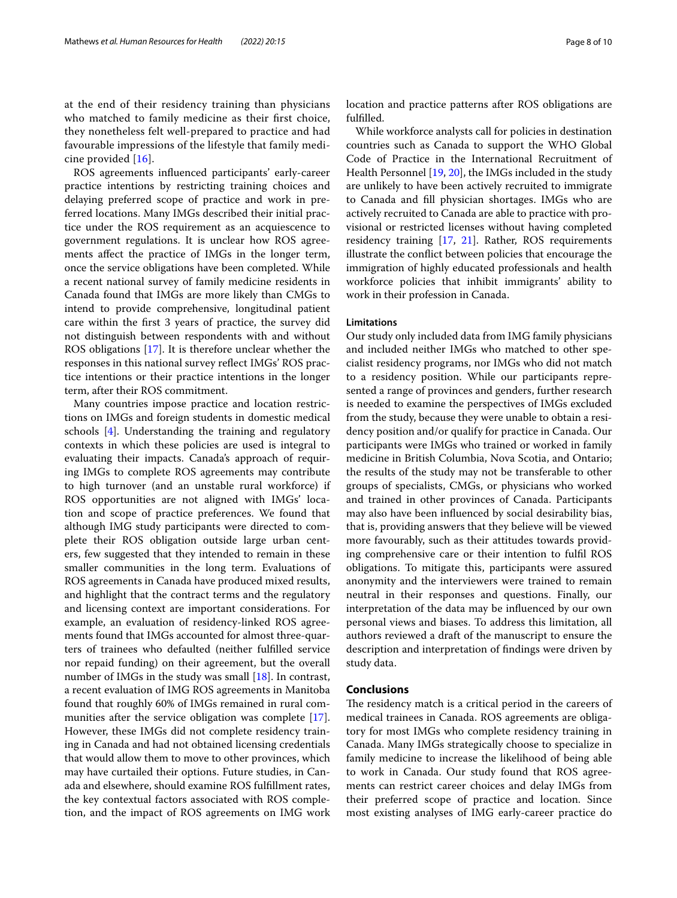at the end of their residency training than physicians who matched to family medicine as their frst choice, they nonetheless felt well-prepared to practice and had favourable impressions of the lifestyle that family medicine provided [[16](#page-8-12)].

ROS agreements infuenced participants' early-career practice intentions by restricting training choices and delaying preferred scope of practice and work in preferred locations. Many IMGs described their initial practice under the ROS requirement as an acquiescence to government regulations. It is unclear how ROS agreements afect the practice of IMGs in the longer term, once the service obligations have been completed. While a recent national survey of family medicine residents in Canada found that IMGs are more likely than CMGs to intend to provide comprehensive, longitudinal patient care within the frst 3 years of practice, the survey did not distinguish between respondents with and without ROS obligations [[17\]](#page-8-13). It is therefore unclear whether the responses in this national survey refect IMGs' ROS practice intentions or their practice intentions in the longer term, after their ROS commitment.

Many countries impose practice and location restrictions on IMGs and foreign students in domestic medical schools [[4\]](#page-8-3). Understanding the training and regulatory contexts in which these policies are used is integral to evaluating their impacts. Canada's approach of requiring IMGs to complete ROS agreements may contribute to high turnover (and an unstable rural workforce) if ROS opportunities are not aligned with IMGs' location and scope of practice preferences. We found that although IMG study participants were directed to complete their ROS obligation outside large urban centers, few suggested that they intended to remain in these smaller communities in the long term. Evaluations of ROS agreements in Canada have produced mixed results, and highlight that the contract terms and the regulatory and licensing context are important considerations. For example, an evaluation of residency-linked ROS agreements found that IMGs accounted for almost three-quarters of trainees who defaulted (neither fulflled service nor repaid funding) on their agreement, but the overall number of IMGs in the study was small [\[18](#page-8-14)]. In contrast, a recent evaluation of IMG ROS agreements in Manitoba found that roughly 60% of IMGs remained in rural communities after the service obligation was complete [\[17](#page-8-13)]. However, these IMGs did not complete residency training in Canada and had not obtained licensing credentials that would allow them to move to other provinces, which may have curtailed their options. Future studies, in Canada and elsewhere, should examine ROS fulfllment rates, the key contextual factors associated with ROS completion, and the impact of ROS agreements on IMG work location and practice patterns after ROS obligations are fulflled.

While workforce analysts call for policies in destination countries such as Canada to support the WHO Global Code of Practice in the International Recruitment of Health Personnel [\[19](#page-8-15), [20\]](#page-9-24), the IMGs included in the study are unlikely to have been actively recruited to immigrate to Canada and fll physician shortages. IMGs who are actively recruited to Canada are able to practice with provisional or restricted licenses without having completed residency training [\[17,](#page-8-13) [21\]](#page-9-25). Rather, ROS requirements illustrate the confict between policies that encourage the immigration of highly educated professionals and health workforce policies that inhibit immigrants' ability to work in their profession in Canada.

## **Limitations**

Our study only included data from IMG family physicians and included neither IMGs who matched to other specialist residency programs, nor IMGs who did not match to a residency position. While our participants represented a range of provinces and genders, further research is needed to examine the perspectives of IMGs excluded from the study, because they were unable to obtain a residency position and/or qualify for practice in Canada. Our participants were IMGs who trained or worked in family medicine in British Columbia, Nova Scotia, and Ontario; the results of the study may not be transferable to other groups of specialists, CMGs, or physicians who worked and trained in other provinces of Canada. Participants may also have been infuenced by social desirability bias, that is, providing answers that they believe will be viewed more favourably, such as their attitudes towards providing comprehensive care or their intention to fulfl ROS obligations. To mitigate this, participants were assured anonymity and the interviewers were trained to remain neutral in their responses and questions. Finally, our interpretation of the data may be infuenced by our own personal views and biases. To address this limitation, all authors reviewed a draft of the manuscript to ensure the description and interpretation of fndings were driven by study data.

#### **Conclusions**

The residency match is a critical period in the careers of medical trainees in Canada. ROS agreements are obligatory for most IMGs who complete residency training in Canada. Many IMGs strategically choose to specialize in family medicine to increase the likelihood of being able to work in Canada. Our study found that ROS agreements can restrict career choices and delay IMGs from their preferred scope of practice and location. Since most existing analyses of IMG early-career practice do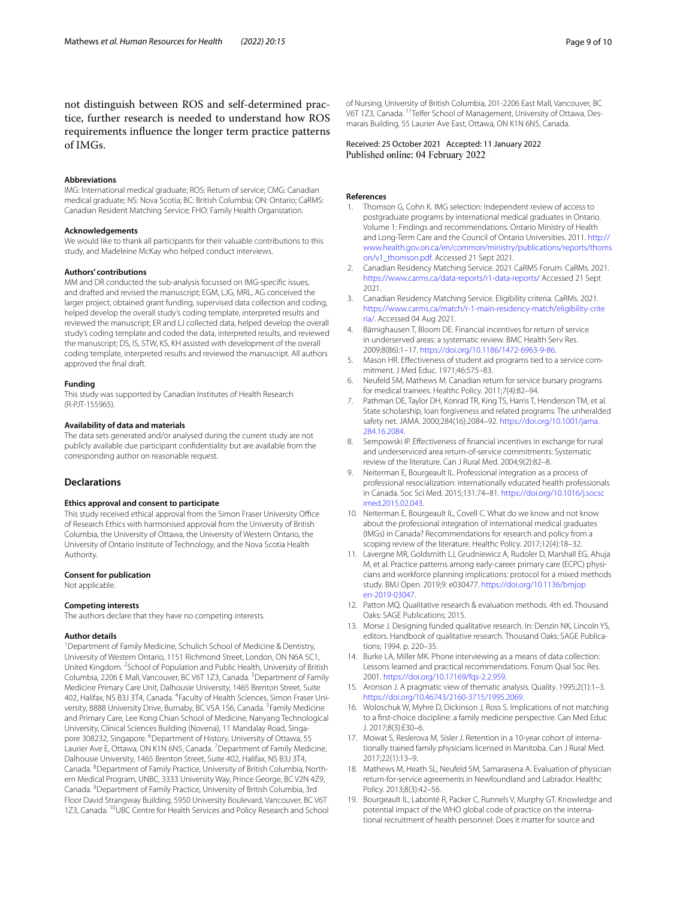not distinguish between ROS and self-determined practice, further research is needed to understand how ROS requirements infuence the longer term practice patterns of IMGs.

#### **Abbreviations**

IMG: International medical graduate; ROS: Return of service; CMG: Canadian medical graduate; NS: Nova Scotia; BC: British Columbia; ON: Ontario; CaRMS: Canadian Resident Matching Service; FHO: Family Health Organization.

#### **Acknowledgements**

We would like to thank all participants for their valuable contributions to this study, and Madeleine McKay who helped conduct interviews.

## **Authors' contributions**

MM and DR conducted the sub-analysis focussed on IMG-specifc issues, and drafted and revised the manuscript; EGM, LJG, MRL, AG conceived the larger project, obtained grant funding, supervised data collection and coding, helped develop the overall study's coding template, interpreted results and reviewed the manuscript; ER and LJ collected data, helped develop the overall study's coding template and coded the data, interpreted results, and reviewed the manuscript; DS, IS, STW, KS, KH assisted with development of the overall coding template, interpreted results and reviewed the manuscript. All authors approved the fnal draft.

#### **Funding**

This study was supported by Canadian Institutes of Health Research (R-PJT-155965).

## **Availability of data and materials**

The data sets generated and/or analysed during the current study are not publicly available due participant confdentiality but are available from the corresponding author on reasonable request.

## **Declarations**

#### **Ethics approval and consent to participate**

This study received ethical approval from the Simon Fraser University Office of Research Ethics with harmonised approval from the University of British Columbia, the University of Ottawa, the University of Western Ontario, the University of Ontario Institute of Technology, and the Nova Scotia Health Authority.

#### **Consent for publication**

Not applicable.

#### **Competing interests**

The authors declare that they have no competing interests.

#### **Author details**

<sup>1</sup> Department of Family Medicine, Schulich School of Medicine & Dentistry, University of Western Ontario, 1151 Richmond Street, London, ON N6A 5C1, United Kingdom. <sup>2</sup> School of Population and Public Health, University of British Columbia, 2206 E Mall, Vancouver, BC V6T 1Z3, Canada. <sup>3</sup> Department of Family Medicine Primary Care Unit, Dalhousie University, 1465 Brenton Street, Suite 402, Halifax, NS B3J 3T4, Canada. <sup>4</sup>Faculty of Health Sciences, Simon Fraser University, 8888 University Drive, Burnaby, BC V5A 1S6, Canada. <sup>5</sup>Family Medicine and Primary Care, Lee Kong Chian School of Medicine, Nanyang Technological University, Clinical Sciences Building (Novena), 11 Mandalay Road, Singapore 308232, Singapore. <sup>6</sup>Department of History, University of Ottawa, 55 Laurier Ave E, Ottawa, ON K1N 6N5, Canada. <sup>7</sup> Department of Family Medicine, Dalhousie University, 1465 Brenton Street, Suite 402, Halifax, NS B3J 3T4, Canada. <sup>8</sup> Department of Family Practice, University of British Columbia, Northern Medical Program, UNBC, 3333 University Way, Prince George, BC V2N 4Z9, Canada. <sup>9</sup> Department of Family Practice, University of British Columbia, 3rd Floor David Strangway Building, 5950 University Boulevard, Vancouver, BC V6T 1Z3, Canada. <sup>10</sup>UBC Centre for Health Services and Policy Research and School of Nursing, University of British Columbia, 201-2206 East Mall, Vancouver, BC V6T 1Z3, Canada. <sup>11</sup> Telfer School of Management, University of Ottawa, Desmarais Building, 55 Laurier Ave East, Ottawa, ON K1N 6N5, Canada.

Received: 25 October 2021 Accepted: 11 January 2022 Published online: 04 February 2022

#### **References**

- <span id="page-8-0"></span>1. Thomson G, Cohn K. IMG selection: Independent review of access to postgraduate programs by international medical graduates in Ontario. Volume 1: Findings and recommendations. Ontario Ministry of Health and Long-Term Care and the Council of Ontario Universities. 2011. [http://](http://www.health.gov.on.ca/en/common/ministry/publications/reports/thomson/v1_thomson.pdf) [www.health.gov.on.ca/en/common/ministry/publications/reports/thoms](http://www.health.gov.on.ca/en/common/ministry/publications/reports/thomson/v1_thomson.pdf) [on/v1\\_thomson.pdf.](http://www.health.gov.on.ca/en/common/ministry/publications/reports/thomson/v1_thomson.pdf) Accessed 21 Sept 2021.
- <span id="page-8-1"></span>2. Canadian Residency Matching Service. 2021 CaRMS Forum. CaRMs. 2021. <https://www.carms.ca/data-reports/r1-data-reports/> Accessed 21 Sept 2021.
- <span id="page-8-2"></span>3. Canadian Residency Matching Service. Eligibility criteria. CaRMs. 2021. [https://www.carms.ca/match/r-1-main-residency-match/eligibility-crite](https://www.carms.ca/match/r-1-main-residency-match/eligibility-criteria/) [ria/.](https://www.carms.ca/match/r-1-main-residency-match/eligibility-criteria/) Accessed 04 Aug 2021.
- <span id="page-8-3"></span>Bärnighausen T, Bloom DE. Financial incentives for return of service in underserved areas: a systematic review. BMC Health Serv Res. 2009;8(86):1–17. <https://doi.org/10.1186/1472-6963-9-86>.
- 5. Mason HR. Efectiveness of student aid programs tied to a service commitment. J Med Educ. 1971;46:575–83.
- <span id="page-8-5"></span>6. Neufeld SM, Mathews M. Canadian return for service bursary programs for medical trainees. Healthc Policy. 2011;7(4):82–94.
- Pathman DE, Taylor DH, Konrad TR, King TS, Harris T, Henderson TM, et al. State scholarship, loan forgiveness and related programs: The unheralded safety net. JAMA. 2000;284(16):2084–92. [https://doi.org/10.1001/jama.](https://doi.org/10.1001/jama.284.16.2084) [284.16.2084](https://doi.org/10.1001/jama.284.16.2084).
- <span id="page-8-4"></span>8. Sempowski IP. Efectiveness of fnancial incentives in exchange for rural and underserviced area return-of-service commitments: Systematic review of the literature. Can J Rural Med. 2004;9(2):82–8.
- <span id="page-8-6"></span>9. Neiterman E, Bourgeault IL. Professional integration as a process of professional resocialization: internationally educated health professionals in Canada. Soc Sci Med. 2015;131:74–81. [https://doi.org/10.1016/j.socsc](https://doi.org/10.1016/j.socscimed.2015.02.043) [imed.2015.02.043.](https://doi.org/10.1016/j.socscimed.2015.02.043)
- <span id="page-8-7"></span>10. Neiterman E, Bourgeault IL, Covell C. What do we know and not know about the professional integration of international medical graduates (IMGs) in Canada? Recommendations for research and policy from a scoping review of the literature. Healthc Policy. 2017;12(4):18–32.
- <span id="page-8-8"></span>11. Lavergne MR, Goldsmith LJ, Grudniewicz A, Rudoler D, Marshall EG, Ahuja M, et al. Practice patterns among early-career primary care (ECPC) physicians and workforce planning implications: protocol for a mixed methods study. BMJ Open. 2019;9: e030477. [https://doi.org/10.1136/bmjop](https://doi.org/10.1136/bmjopen-2019-03047) [en-2019-03047.](https://doi.org/10.1136/bmjopen-2019-03047)
- <span id="page-8-9"></span>12. Patton MQ. Qualitative research & evaluation methods. 4th ed. Thousand Oaks: SAGE Publications; 2015.
- 13. Morse J. Designing funded qualitative research. In: Denzin NK, Lincoln YS, editors. Handbook of qualitative research. Thousand Oaks: SAGE Publications; 1994. p. 220–35.
- <span id="page-8-10"></span>14. Burke LA, Miller MK. Phone interviewing as a means of data collection: Lessons learned and practical recommendations. Forum Qual Soc Res. 2001. [https://doi.org/10.17169/fqs-2.2.959.](https://doi.org/10.17169/fqs-2.2.959)
- <span id="page-8-11"></span>15. Aronson J. A pragmatic view of thematic analysis. Quality. 1995;2(1):1–3. [https://doi.org/10.46743/2160-3715/1995.2069.](https://doi.org/10.46743/2160-3715/1995.2069)
- <span id="page-8-12"></span>16. Woloschuk W, Myhre D, Dickinson J, Ross S. Implications of not matching to a frst-choice discipline: a family medicine perspective. Can Med Educ J. 2017;8(3):E30–6.
- <span id="page-8-13"></span>17. Mowat S, Reslerova M, Sisler J. Retention in a 10-year cohort of internationally trained family physicians licensed in Manitoba. Can J Rural Med. 2017;22(1):13–9.
- <span id="page-8-14"></span>18. Mathews M, Heath SL, Neufeld SM, Samarasena A. Evaluation of physician return-for-service agreements in Newfoundland and Labrador. Healthc Policy. 2013;8(3):42–56.
- <span id="page-8-15"></span>19. Bourgeault IL, Labonté R, Packer C, Runnels V, Murphy GT. Knowledge and potential impact of the WHO global code of practice on the international recruitment of health personnel: Does it matter for source and